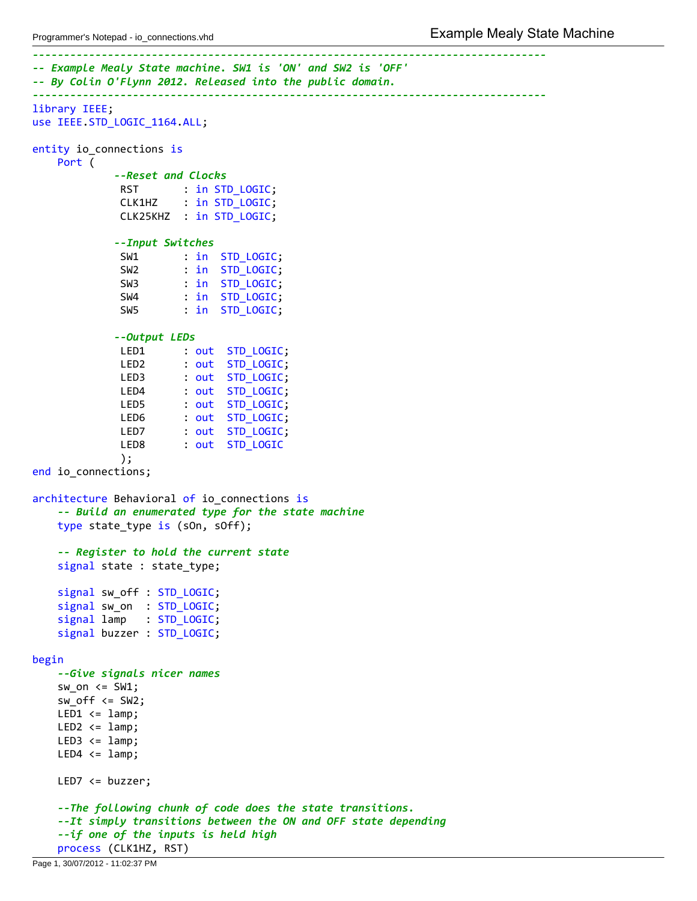```
‐‐‐‐‐‐‐‐‐‐‐‐‐‐‐‐‐‐‐‐‐‐‐‐‐‐‐‐‐‐‐‐‐‐‐‐‐‐‐‐‐‐‐‐‐‐‐‐‐‐‐‐‐‐‐‐‐‐‐‐‐‐‐‐‐‐‐‐‐‐‐‐‐‐‐‐‐‐‐‐‐‐
‐‐ Example Mealy State machine. SW1 is 'ON' and SW2 is 'OFF'
‐‐ By Colin O'Flynn 2012. Released into the public domain.
‐‐‐‐‐‐‐‐‐‐‐‐‐‐‐‐‐‐‐‐‐‐‐‐‐‐‐‐‐‐‐‐‐‐‐‐‐‐‐‐‐‐‐‐‐‐‐‐‐‐‐‐‐‐‐‐‐‐‐‐‐‐‐‐‐‐‐‐‐‐‐‐‐‐‐‐‐‐‐‐‐‐
library IEEE;
use IEEE.STD LOGIC 1164.ALL;
entity io_connections is
    Port (
             ‐‐Reset and Clocks
              RST : in STD_LOGIC;<br>CLK1HZ : in STD_LOGIC;
                       : in STD_LOGIC;
              CLK25KHZ : in STD_LOGIC;
             ‐‐Input Switches
              SW1 : in STD_LOGIC;
              SW2 : in STD_LOGIC;
              SW3 : in STD_LOGIC;
              SW4 : in STD LOGIC;
              SW5 : in STD_LOGIC;
             ‐‐Output LEDs
              LED1 : out STD LOGIC;
              LED2 : out STD_LOGIC;
              LED3 : out STD_LOGIC;
             LED4 : out STD_LOGIC;
              LED5 : out STD LOGIC;
              LED6 : out STD_LOGIC;
              LED7 : out STD_LOGIC;
              LED8 : out STD_LOGIC
              );
end io_connections;
architecture Behavioral of io_connections is
    ‐‐ Build an enumerated type for the state machine
    type state_type is (sOn, sOff);
    ‐‐ Register to hold the current state
    signal state : state_type;
    signal sw_off : STD_LOGIC;
    signal sw_on : STD_LOGIC;
    signal lamp : STD_LOGIC;
    signal buzzer : STD LOGIC;
begin
    ‐‐Give signals nicer names
    sw on \leq SW1;
    sw\_off \leq SW2;
   LED1 \leq 1amp;
   LED2 \leq Iamp;LED3 \leq L2LED4 \leq \text{lamp};
   LED7 <= buzzer;
    ‐‐The following chunk of code does the state transitions.
    ‐‐It simply transitions between the ON and OFF state depending
    ‐‐if one of the inputs is held high
    process (CLK1HZ, RST)
```